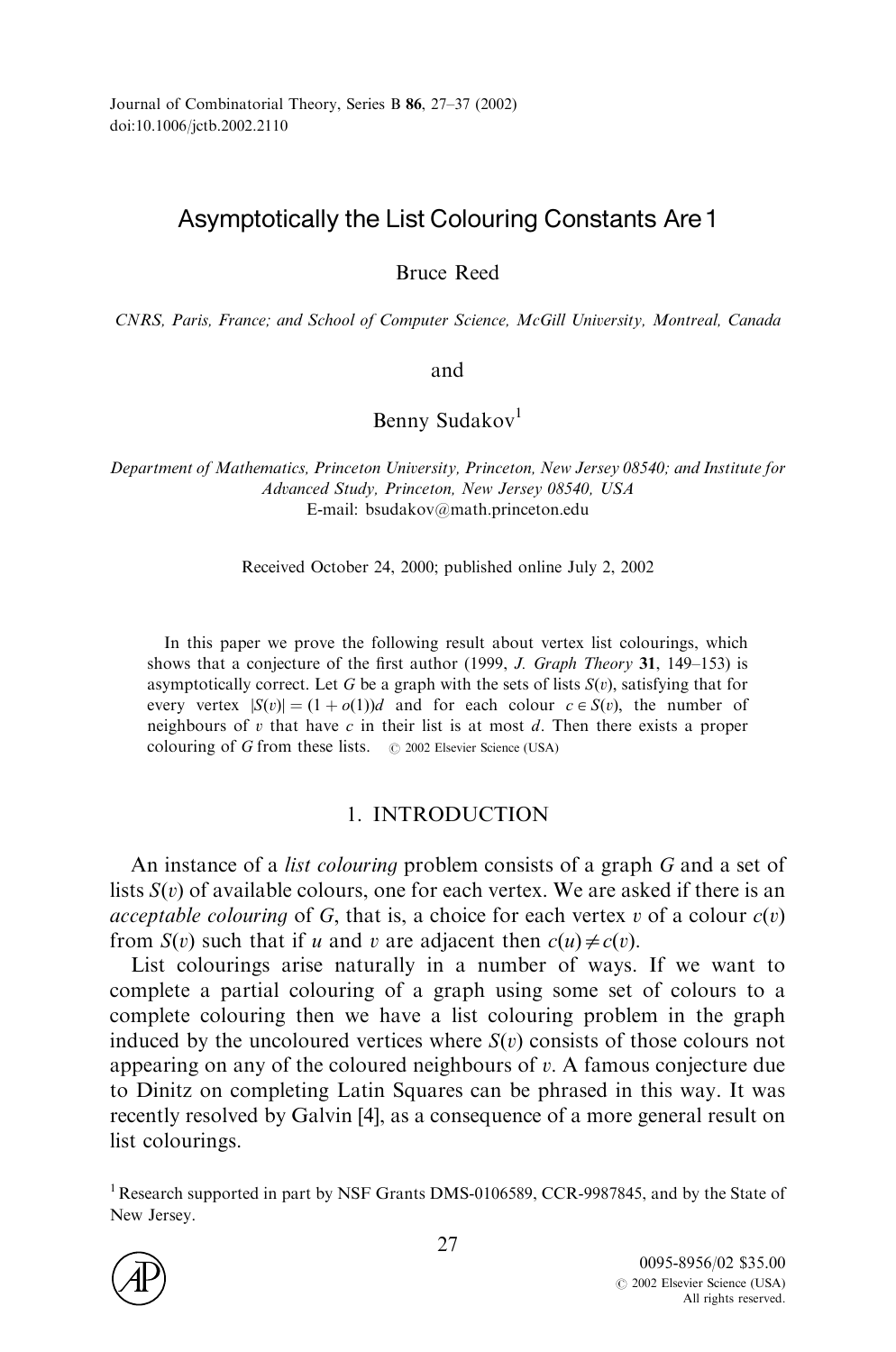# Asymptotically the List Colouring Constants Are1

Bruce Reed

CNRS, Paris, France; and School of Computer Science, McGill University, Montreal, Canada

and

Benny Sudakov<sup>1</sup>

Department of Mathematics, Princeton University, Princeton, New Jersey 08540; and Institute for Advanced Study, Princeton, New Jersey 08540, USA E-mail: bsudakov@math:princeton:edu

Received October 24, 2000; published online July 2, 2002

In this paper we prove the following result about vertex list colourings, which shows that a conjecture of the first author (1999, J. Graph Theory 31, 149–153) is asymptotically correct. Let *G* be a graph with the sets of lists  $S(v)$ , satisfying that for every vertex  $|S(v)| = (1 + o(1))d$  and for each colour  $c \in S(v)$ , the number of neighbours of *v* that have *c* in their list is at most *d*: Then there exists a proper colouring of *G* from these lists.  $\circ$  2002 Elsevier Science (USA)

## 1. INTRODUCTION

An instance of a list colouring problem consists of a graph *G* and a set of lists  $S(v)$  of available colours, one for each vertex. We are asked if there is an *acceptable colouring* of *G*, that is, a choice for each vertex *v* of a colour  $c(v)$ from *S*(*v*) such that if *u* and *v* are adjacent then  $c(u) \neq c(v)$ .

List colourings arise naturally in a number of ways. If we want to complete a partial colouring of a graph using some set of colours to a complete colouring then we have a list colouring problem in the graph induced by the uncoloured vertices where  $S(v)$  consists of those colours not appearing on any of the coloured neighbours of *v*: A famous conjecture due to Dinitz on completing Latin Squares can be phrased in this way.It was recently resolved by Galvin [\[4\],](#page-9-0) as a consequence of a more general result on list colourings.

<sup>&</sup>lt;sup>1</sup> Research supported in part by NSF Grants DMS-0106589, CCR-9987845, and by the State of New Jersey.

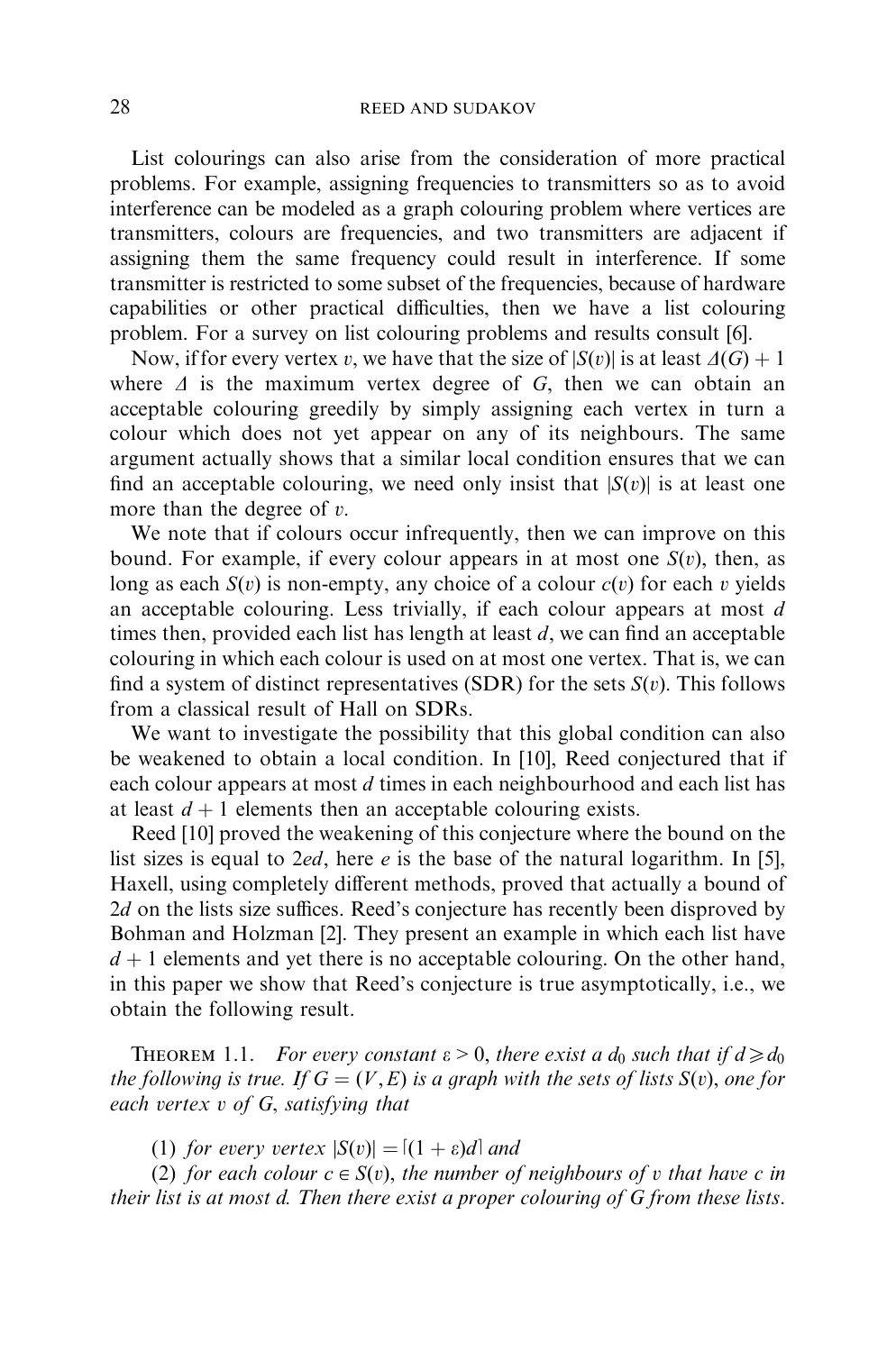List colourings can also arise from the consideration of more practical problems.For example, assigning frequencies to transmitters so as to avoid interference can be modeled as a graph colouring problem where vertices are transmitters, colours are frequencies, and two transmitters are adjacent if assigning them the same frequency could result in interference. If some transmitter is restricted to some subset of the frequencies, because of hardware capabilities or other practical difficulties, then we have a list colouring problem. For a survey on list colouring problems and results consult [\[6\]](#page-9-0).

Now, if for every vertex *v*, we have that the size of  $|S(v)|$  is at least  $\Delta(G) + 1$ where  $\Delta$  is the maximum vertex degree of *G*, then we can obtain an acceptable colouring greedily by simply assigning each vertex in turn a colour which does not yet appear on any of its neighbours.The same argument actually shows that a similar local condition ensures that we can find an acceptable colouring, we need only insist that  $|S(v)|$  is at least one more than the degree of *v*:

We note that if colours occur infrequently, then we can improve on this bound. For example, if every colour appears in at most one  $S(v)$ , then, as long as each  $S(v)$  is non-empty, any choice of a colour  $c(v)$  for each *v* yields an acceptable colouring.Less trivially, if each colour appears at most *d* times then, provided each list has length at least *d*; we can find an acceptable colouring in which each colour is used on at most one vertex.That is, we can find a system of distinct representatives (SDR) for the sets  $S(v)$ . This follows from a classical result of Hall on SDRs.

We want to investigate the possibility that this global condition can also be weakened to obtain a local condition.In [\[10\],](#page-10-0) Reed conjectured that if each colour appears at most *d* times in each neighbourhood and each list has at least  $d+1$  elements then an acceptable colouring exists.

Reed [\[10\]](#page-10-0) proved the weakening of this conjecture where the bound on the list sizes is equal to 2*ed*, here *e* is the base of the natural logarithm. In [\[5\]](#page-9-0), Haxell, using completely different methods, proved that actually a bound of 2*d* on the lists size suffices. Reed's conjecture has recently been disproved by Bohman and Holzman [\[2\]](#page-9-0). They present an example in which each list have  $d+1$  elements and yet there is no acceptable colouring. On the other hand, in this paper we show that Reed's conjecture is true asymptotically, i.e., we obtain the following result.

**THEOREM** 1.1. For every constant  $\varepsilon > 0$ , there exist a  $d_0$  such that if  $d \ge d_0$ the following is true. If  $G = (V, E)$  is a graph with the sets of lists  $S(v)$ , one for each vertex v of G, satisfying that

(1) for every vertex  $|S(v)| = [(1 + \varepsilon)d]$  and

(2) for each colour  $c \in S(v)$ , the number of neighbours of v that have c in their list is at most d. Then there exist a proper colouring of G from these lists.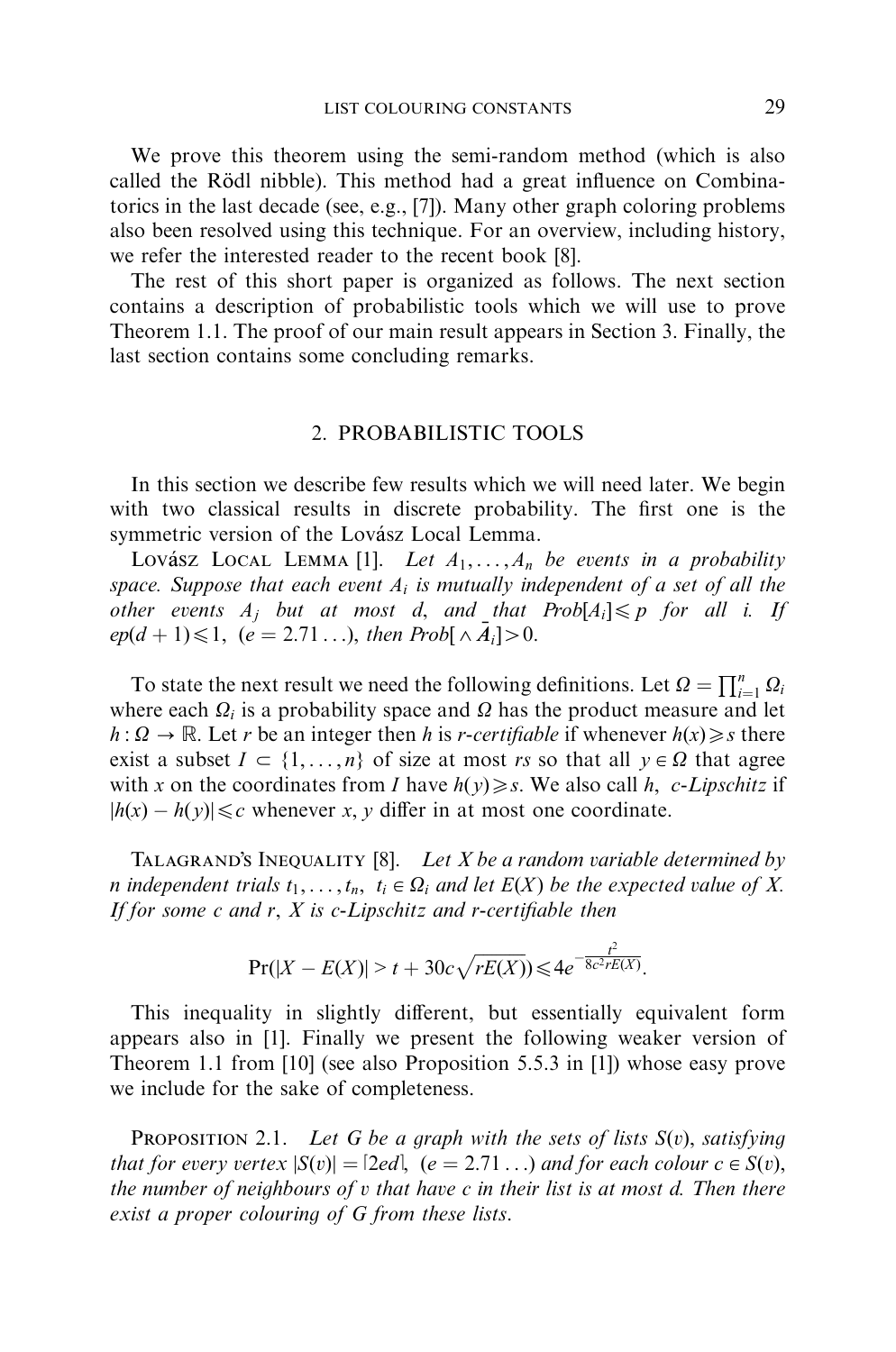We prove this theorem using the semi-random method (which is also called the Rödl nibble). This method had a great influence on Combinatorics in the last decade (see, e.g., [\[7\]\)](#page-9-0). Many other graph coloring problems also been resolved using this technique.For an overview, including history, we refer the interested reader to the recent book [\[8\]](#page-10-0).

The rest of this short paper is organized as follows. The next section contains a description of probabilistic tools which we will use to prove Theorem 1.1. The proof of our main result appears in [Section 3](#page-3-0). Finally, the last section contains some concluding remarks.

#### 2.PROBABILISTIC TOOLS

In this section we describe few results which we will need later. We begin with two classical results in discrete probability.The first one is the symmetric version of the Lovász Local Lemma.

Lovász Local Lemma [\[1\].](#page-9-0) Let  $A_1, \ldots, A_n$  be events in a probability space. Suppose that each event  $A_i$  is mutually independent of a set of all the other events  $A_j$  but at most  $d$ , and that  $Prob[A_i] \leqslant p$  for all i. If  $ep(d+1) \leq 1, (e = 2.71...)$ , then  $Prob[\wedge \overline{A}_i] > 0.$ 

To state the next result we need the following definitions. Let  $\Omega = \prod_{i=1}^{n} \Omega_i$ where each  $\Omega_i$  is a probability space and  $\Omega$  has the product measure and let  $h: \Omega \to \mathbb{R}$ . Let *r* be an integer then *h* is *r*-certifiable if whenever  $h(x) \geq s$  there exist a subset  $I \subset \{1, ..., n\}$  of size at most *rs* so that all  $y \in \Omega$  that agree with *x* on the coordinates from *I* have  $h(y) \geq s$ . We also call *h*, *c*-Lipschitz if  $|h(x) - h(y)| \leq c$  whenever *x*, *y* differ in at most one coordinate.

TALAGRAND'S INEQUALITY [\[8\].](#page-10-0) Let X be a random variable determined by *n* independent trials  $t_1, \ldots, t_n, t_i \in \Omega_i$  and let  $E(X)$  be the expected value of X. If for some  $c$  and  $r$ ,  $X$  is  $c$ -Lipschitz and  $r$ -certifiable then

$$
\Pr(|X - E(X)| > t + 30c\sqrt{rE(X)}) \leq 4e^{-\frac{t^2}{8c^2rE(X)}}.
$$

This inequality in slightly different, but essentially equivalent form appears also in [\[1\]](#page-9-0). Finally we present the following weaker version of Theorem 1.1 from [\[10\]](#page-10-0) (see also Proposition 5.5.3 in [\[1\]\)](#page-9-0) whose easy prove we include for the sake of completeness.

**PROPOSITION 2.1.** Let G be a graph with the sets of lists  $S(v)$ , satisfying that for every vertex  $|S(v)| = 2ed$ ,  $(e = 2.71 \ldots)$  and for each colour  $c \in S(v)$ , the number of neighbours of v that have c in their list is at most d. Then there exist a proper colouring of G from these lists.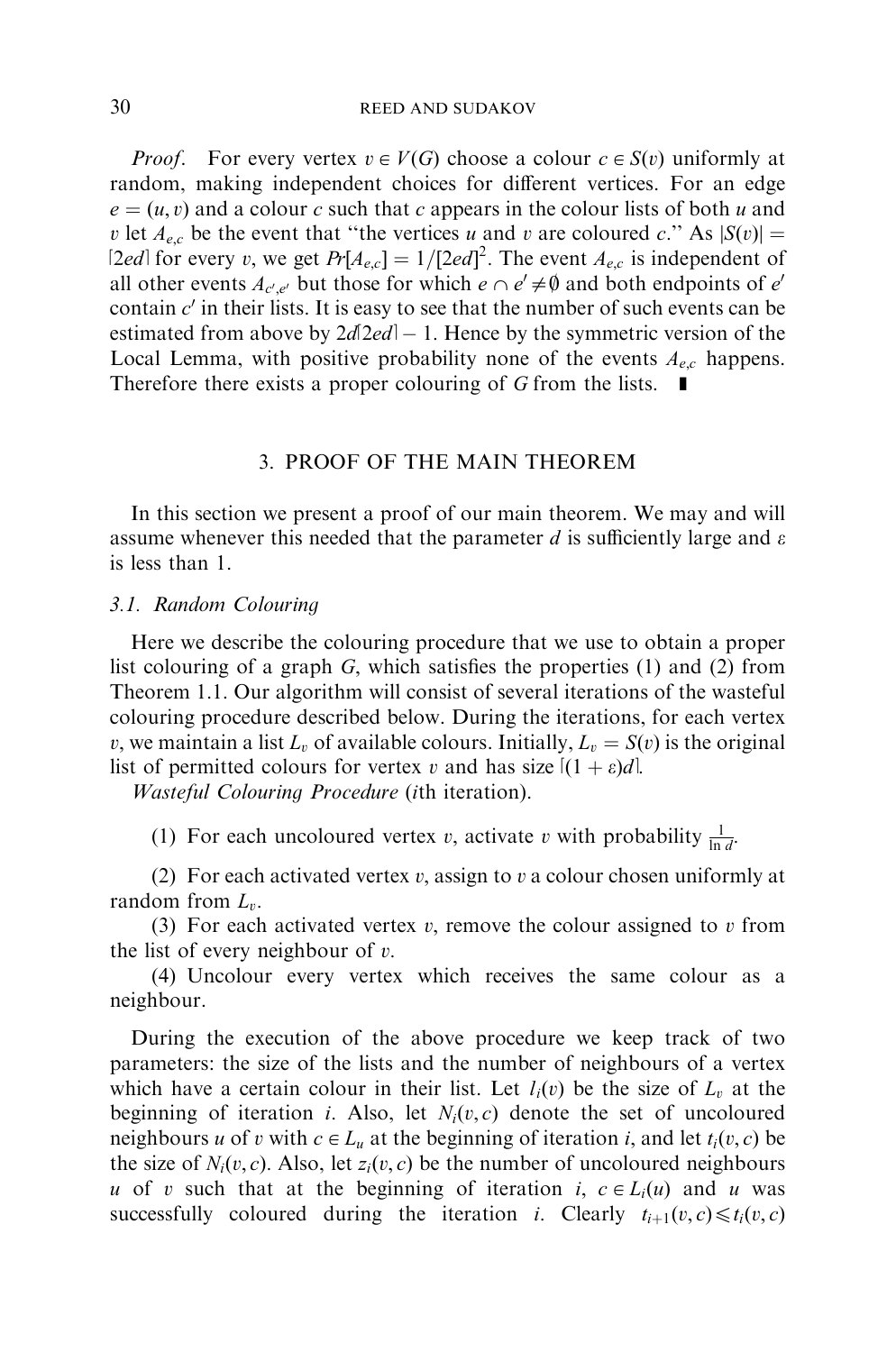<span id="page-3-0"></span>*Proof.* For every vertex  $v \in V(G)$  choose a colour  $c \in S(v)$  uniformly at random, making independent choices for different vertices.For an edge  $e = (u, v)$  and a colour *c* such that *c* appears in the colour lists of both *u* and *v* let  $A_{e,c}$  be the event that "the vertices *u* and *v* are coloured *c*." As  $|S(v)| =$ [2*ed*] for every *v*, we get  $Pr[A_{e,c}] = 1/[2ed]^2$ . The event  $A_{e,c}$  is independent of all other events  $A_{c',e'}$  but those for which  $e \cap e' \neq \emptyset$  and both endpoints of *e*<sup>*i*</sup> contain  $c'$  in their lists. It is easy to see that the number of such events can be estimated from above by  $2d2ed - 1$ . Hence by the symmetric version of the Local Lemma, with positive probability none of the events  $A_{e,c}$  happens. Therefore there exists a proper colouring of  $G$  from the lists.  $\blacksquare$ 

#### 3.PROOF OF THE MAIN THEOREM

In this section we present a proof of our main theorem.We may and will assume whenever this needed that the parameter *d* is sufficiently large and  $\varepsilon$ is less than 1.

#### 3.1. Random Colouring

Here we describe the colouring procedure that we use to obtain a proper list colouring of a graph *G*; which satisfies the properties (1) and (2) from Theorem 1.1. Our algorithm will consist of several iterations of the wasteful colouring procedure described below.During the iterations, for each vertex *v*, we maintain a list  $L_v$  of available colours. Initially,  $L_v = S(v)$  is the original list of permitted colours for vertex *v* and has size  $[(1 + \varepsilon)d]$ .

Wasteful Colouring Procedure (*i*th iteration).

(1) For each uncoloured vertex *v*, activate *v* with probability  $\frac{1}{\ln d}$ .

(2) For each activated vertex *v*; assign to *v* a colour chosen uniformly at random from *Lv*:

(3) For each activated vertex *v*; remove the colour assigned to *v* from the list of every neighbour of *v*:

(4) Uncolour every vertex which receives the same colour as a neighbour.

During the execution of the above procedure we keep track of two parameters: the size of the lists and the number of neighbours of a vertex which have a certain colour in their list. Let  $l_i(v)$  be the size of  $L_v$  at the beginning of iteration *i*. Also, let  $N_i(v, c)$  denote the set of uncoloured neighbours *u* of *v* with  $c \in L_u$  at the beginning of iteration *i*, and let  $t_i(v, c)$  be the size of  $N_i(v, c)$ . Also, let  $z_i(v, c)$  be the number of uncoloured neighbours *u* of *v* such that at the beginning of iteration *i*,  $c \in L_i(u)$  and *u* was successfully coloured during the iteration *i*. Clearly  $t_{i+1}(v, c) \leq t_i(v, c)$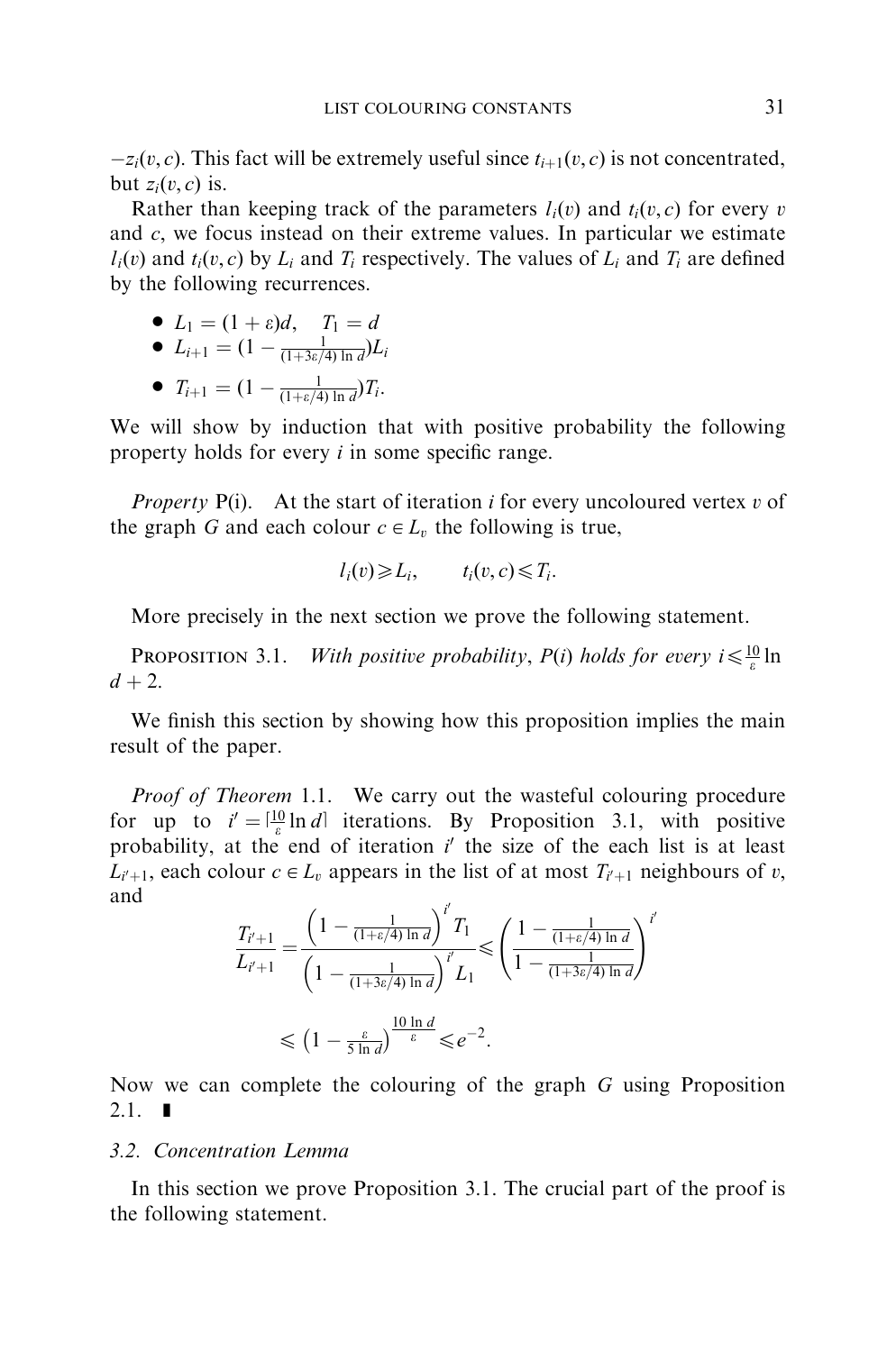$-z_i(v, c)$ . This fact will be extremely useful since  $t_{i+1}(v, c)$  is not concentrated, but  $z_i(v, c)$  is.

Rather than keeping track of the parameters  $l_i(v)$  and  $t_i(v, c)$  for every *v* and *c*; we focus instead on their extreme values.In particular we estimate  $l_i(v)$  and  $t_i(v, c)$  by  $L_i$  and  $T_i$  respectively. The values of  $L_i$  and  $T_i$  are defined by the following recurrences.

$$
\bullet \ \ L_1 = (1+\varepsilon)d, \quad T_1 = d
$$

• 
$$
L_{i+1} = (1 - \frac{1}{(1+3\varepsilon/4) \ln d})L_i
$$

•  $T_{i+1} = (1 - \frac{1}{(1 + \varepsilon/4) \ln d}) T_i.$ 

We will show by induction that with positive probability the following property holds for every *i* in some specific range.

*Property*  $P(i)$ . At the start of iteration *i* for every uncoloured vertex *v* of the graph *G* and each colour  $c \in L_v$  the following is true,

$$
l_i(v) \geqslant L_i, \qquad t_i(v, c) \leqslant T_i.
$$

More precisely in the next section we prove the following statement.

**PROPOSITION 3.1.** With positive probability,  $P(i)$  holds for every  $i \leq \frac{10}{\varepsilon} \ln \frac{1}{2}$  $d + 2$ .

We finish this section by showing how this proposition implies the main result of the paper.

*Proof of Theorem* 1.1. We carry out the wasteful colouring procedure for up to  $i' = \left[\frac{10}{\varepsilon} \ln d\right]$  iterations. By Proposition 3.1, with positive probability, at the end of iteration  $i'$  the size of the each list is at least  $L_{i'+1}$ , each colour  $c \in L_v$  appears in the list of at most  $T_{i'+1}$  neighbours of *v*, and  $\overline{y}$ 

$$
\frac{T_{i'+1}}{L_{i'+1}} = \frac{\left(1 - \frac{1}{(1+\varepsilon/4)\ln d}\right)^{i'} T_1}{\left(1 - \frac{1}{(1+3\varepsilon/4)\ln d}\right)^{i'} L_1} \leq \left(\frac{1 - \frac{1}{(1+\varepsilon/4)\ln d}}{1 - \frac{1}{(1+3\varepsilon/4)\ln d}}\right)^{i'}
$$
  

$$
\leq (1 - \frac{\varepsilon}{5\ln d})^{\frac{10\ln d}{\varepsilon}} \leq e^{-2}.
$$

Now we can complete the colouring of the graph *G* using Proposition  $2.1.$   $\blacksquare$ 

### 3.2. Concentration Lemma

In this section we prove Proposition 3.1. The crucial part of the proof is the following statement.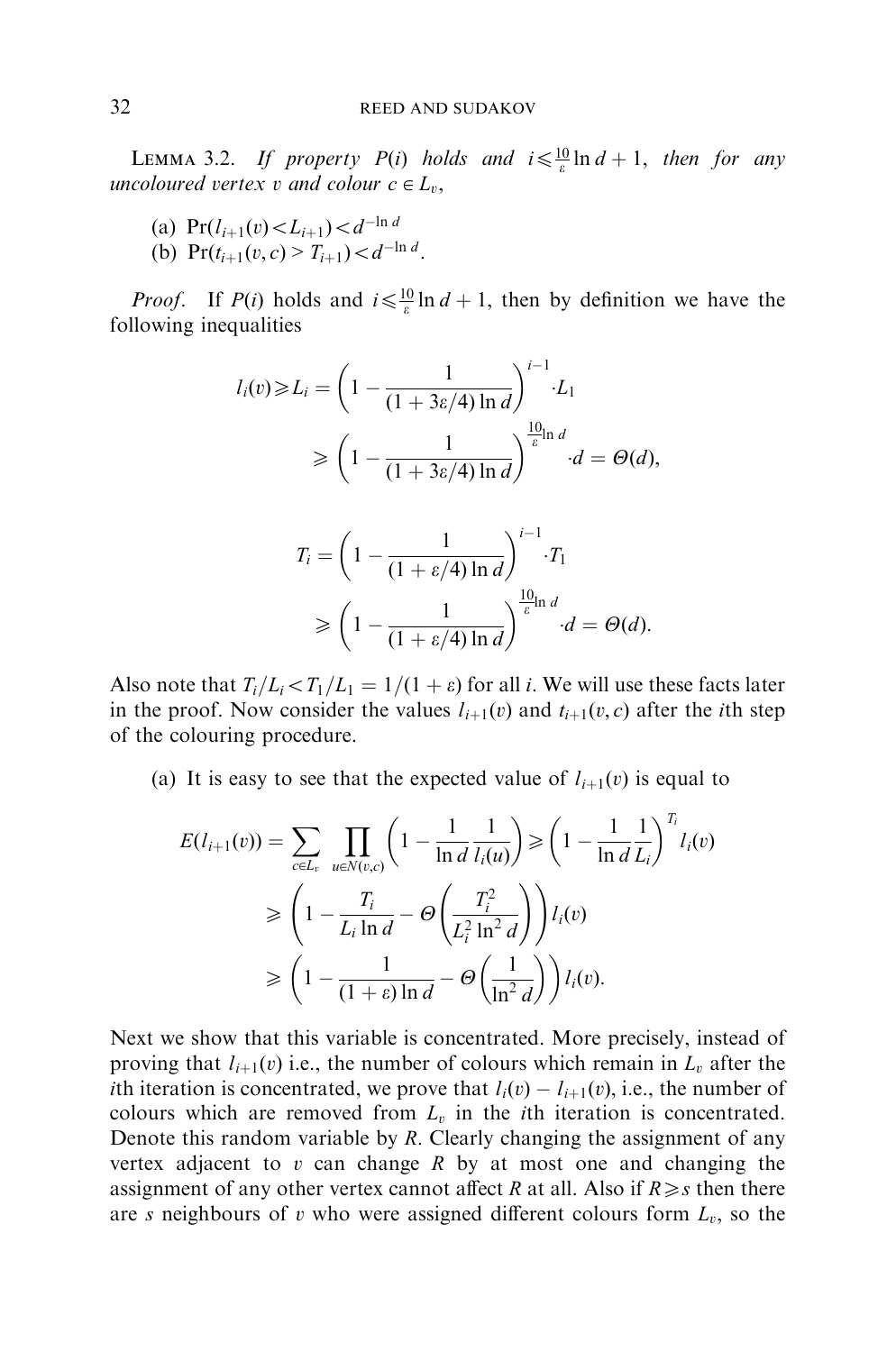LEMMA 3.2. If property  $P(i)$  holds and  $i \leq \frac{10}{\varepsilon} \ln d + 1$ , then for any uncoloured vertex v and colour  $c \in L_v$ ,

- (a)  $\Pr(l_{i+1}(v) < L_{i+1}) < d^{-\ln d}$
- (b)  $\Pr(t_{i+1}(v, c) > T_{i+1}) < d^{-\ln d}$ .

*Proof.* If *P*(*i*) holds and  $i \leq \frac{10}{\varepsilon} \ln d + 1$ , then by definition we have the following inequalities

$$
l_i(v) \ge L_i = \left(1 - \frac{1}{(1 + 3\varepsilon/4) \ln d}\right)^{i-1} L_1
$$
  
\n
$$
\ge \left(1 - \frac{1}{(1 + 3\varepsilon/4) \ln d}\right)^{\frac{10}{\varepsilon} \ln d} d = \Theta(d),
$$

$$
T_i = \left(1 - \frac{1}{(1 + \varepsilon/4) \ln d}\right)^{i-1} \cdot T_1
$$
  
\n
$$
\geq \left(1 - \frac{1}{(1 + \varepsilon/4) \ln d}\right)^{\frac{10}{\varepsilon} \ln d} \cdot d = \Theta(d).
$$

Also note that  $T_i/L_i \leq T_1/L_1 = 1/(1 + \varepsilon)$  for all *i*. We will use these facts later in the proof. Now consider the values  $l_{i+1}(v)$  and  $t_{i+1}(v, c)$  after the *i*th step of the colouring procedure.

(a) It is easy to see that the expected value of  $l_{i+1}(v)$  is equal to

$$
E(l_{i+1}(v)) = \sum_{c \in L_v} \prod_{u \in N(v,c)} \left( 1 - \frac{1}{\ln d} \frac{1}{l_i(u)} \right) \ge \left( 1 - \frac{1}{\ln d} \frac{1}{L_i} \right)^{T_i} l_i(v)
$$
  
\n
$$
\ge \left( 1 - \frac{T_i}{L_i \ln d} - \Theta \left( \frac{T_i^2}{L_i^2 \ln^2 d} \right) \right) l_i(v)
$$
  
\n
$$
\ge \left( 1 - \frac{1}{(1 + \varepsilon) \ln d} - \Theta \left( \frac{1}{\ln^2 d} \right) \right) l_i(v).
$$

Next we show that this variable is concentrated.More precisely, instead of proving that  $l_{i+1}(v)$  i.e., the number of colours which remain in  $L_v$  after the *i*th iteration is concentrated, we prove that  $l_i(v) - l_{i+1}(v)$ , i.e., the number of colours which are removed from  $L<sub>v</sub>$  in the *i*th iteration is concentrated. Denote this random variable by *R*: Clearly changing the assignment of any vertex adjacent to *v* can change *R* by at most one and changing the assignment of any other vertex cannot affect *R* at all. Also if  $R \geq s$  then there are *s* neighbours of *v* who were assigned different colours form  $L_v$ , so the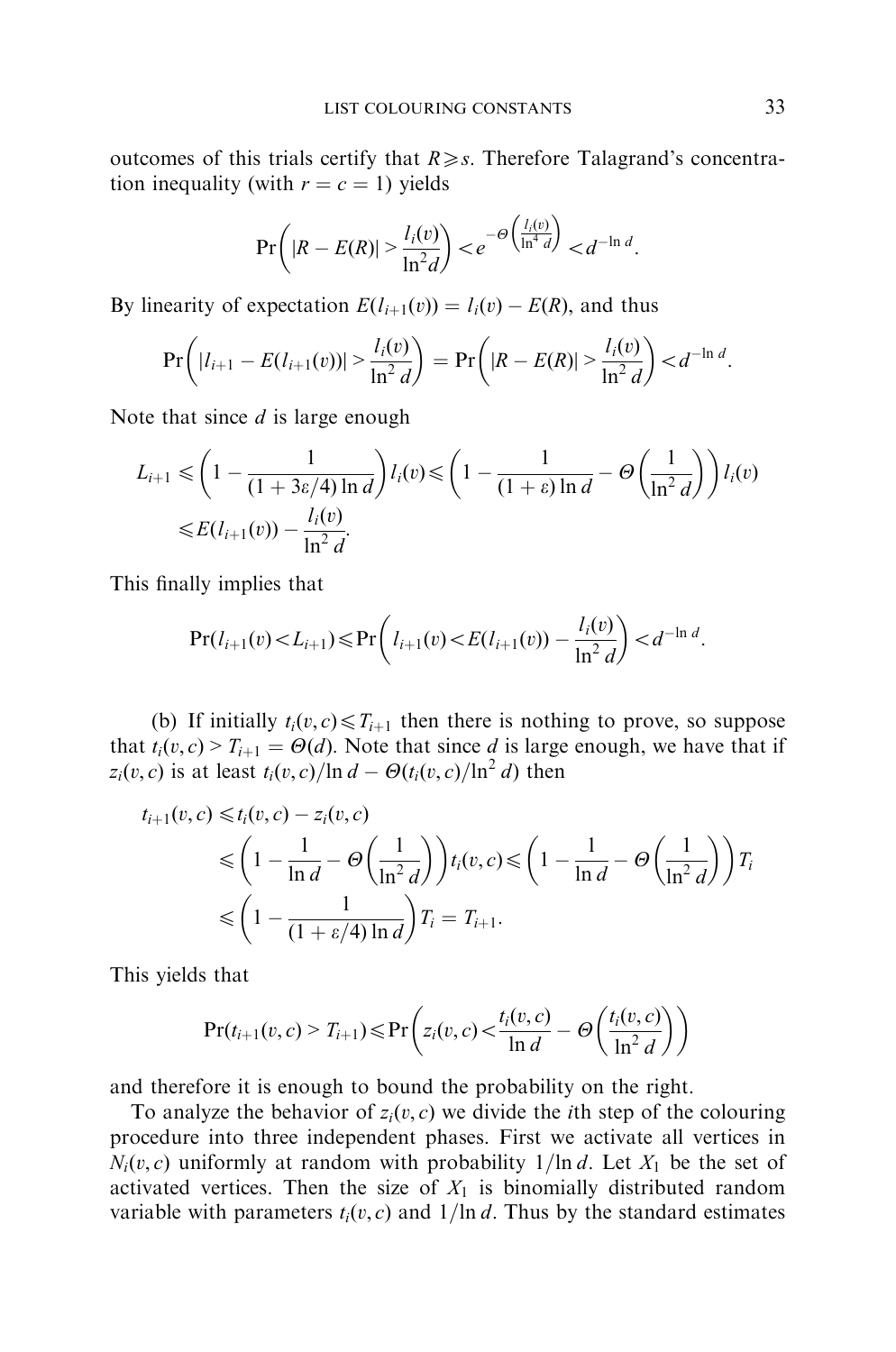outcomes of this trials certify that  $R \geq s$ . Therefore Talagrand's concentration inequality (with  $r = c = 1$ ) yields

$$
\Pr\left(|R - E(R)| > \frac{l_i(v)}{\ln^2 d}\right) < e^{-\Theta\left(\frac{l_i(v)}{\ln^4 d}\right)} < d^{-\ln d}.
$$

By linearity of expectation  $E(l_{i+1}(v)) = l_i(v) - E(R)$ , and thus

$$
\Pr\left(|l_{i+1}-E(l_{i+1}(v))| > \frac{l_i(v)}{\ln^2 d}\right) = \Pr\left(|R - E(R)| > \frac{l_i(v)}{\ln^2 d}\right) < d^{-\ln d}.
$$

Note that since *d* is large enough

$$
L_{i+1} \leq \left(1 - \frac{1}{(1 + 3\varepsilon/4) \ln d}\right) l_i(v) \leq \left(1 - \frac{1}{(1 + \varepsilon) \ln d} - \Theta\left(\frac{1}{\ln^2 d}\right)\right) l_i(v)
$$
  

$$
\leq E(l_{i+1}(v)) - \frac{l_i(v)}{\ln^2 d}.
$$

This finally implies that

$$
\Pr(l_{i+1}(v) < L_{i+1}) \le \Pr\left(l_{i+1}(v) < E(l_{i+1}(v)) - \frac{l_i(v)}{\ln^2 d}\right) < d^{-\ln d}.
$$

(b) If initially  $t_i(v, c) \leq T_{i+1}$  then there is nothing to prove, so suppose that  $t_i(v, c) > T_{i+1} = \Theta(d)$ . Note that since *d* is large enough, we have that if *z<sub>i</sub>*(*v*, *c*) is at least  $t_i(v, c)/\ln d - \Theta(t_i(v, c)/\ln^2 d)$  then

$$
t_{i+1}(v,c) \leq t_i(v,c) - z_i(v,c)
$$
  
\n
$$
\leq \left(1 - \frac{1}{\ln d} - \Theta\left(\frac{1}{\ln^2 d}\right)\right) t_i(v,c) \leq \left(1 - \frac{1}{\ln d} - \Theta\left(\frac{1}{\ln^2 d}\right)\right) T_i
$$
  
\n
$$
\leq \left(1 - \frac{1}{(1 + \varepsilon/4) \ln d}\right) T_i = T_{i+1}.
$$

This yields that

$$
\Pr(t_{i+1}(v, c) > T_{i+1}) \leq \Pr\left(z_i(v, c) < \frac{t_i(v, c)}{\ln d} - \Theta\left(\frac{t_i(v, c)}{\ln^2 d}\right)\right)
$$

and therefore it is enough to bound the probability on the right.

To analyze the behavior of  $z_i(v, c)$  we divide the *i*th step of the colouring procedure into three independent phases. First we activate all vertices in  $N_i(v, c)$  uniformly at random with probability  $1/\ln d$ . Let  $X_1$  be the set of activated vertices. Then the size of  $X_1$  is binomially distributed random variable with parameters  $t_i(v, c)$  and  $1/\ln d$ . Thus by the standard estimates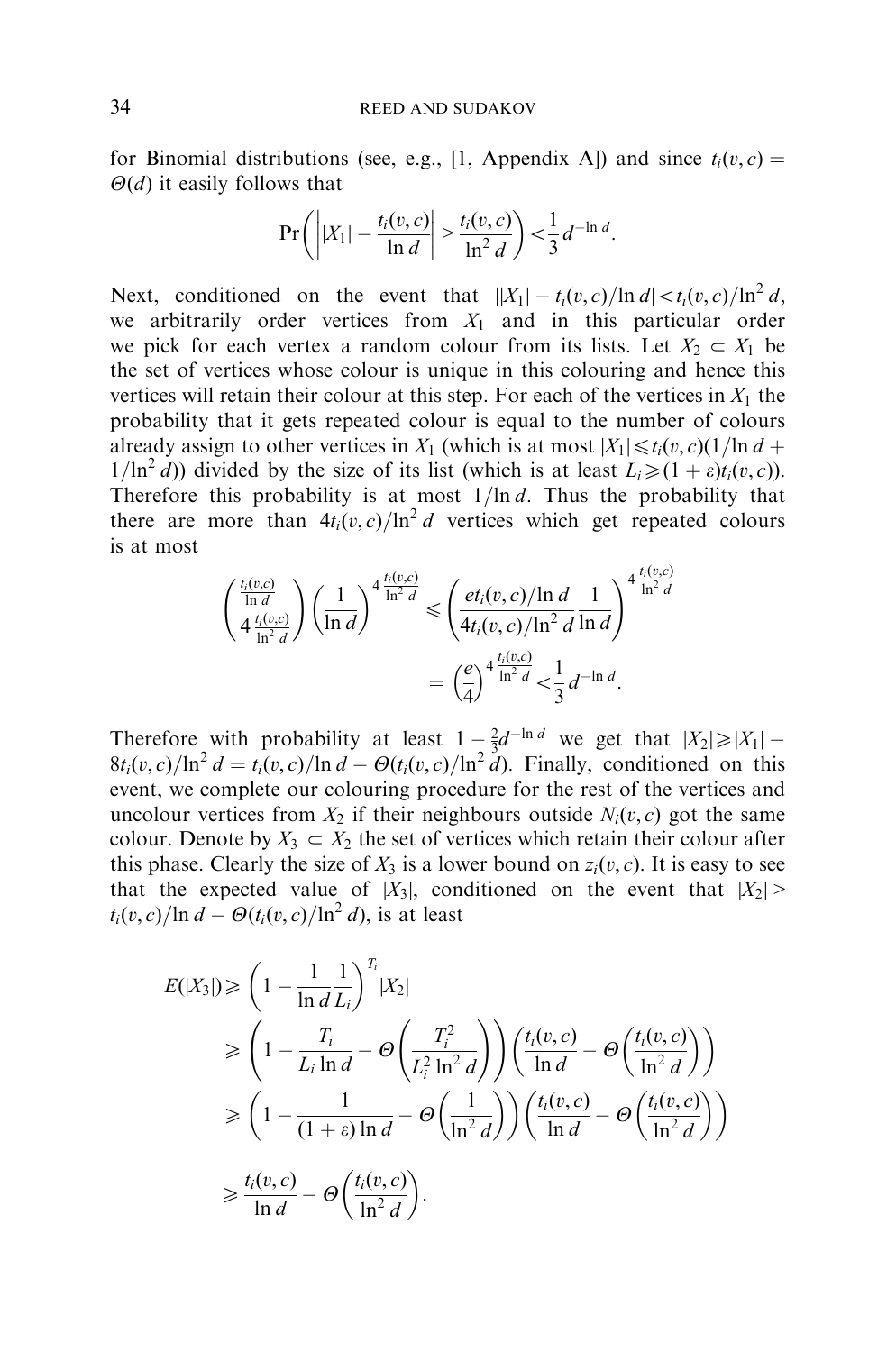for Binomial distributions (see, e.g., [\[1,](#page-9-0) Appendix A]) and since  $t_i(v, c) =$  $\Theta$ (*d*) it easily follows that

$$
\Pr\left(\left||X_1| - \frac{t_i(v, c)}{\ln d}\right| > \frac{t_i(v, c)}{\ln^2 d}\right) < \frac{1}{3} d^{-\ln d}.
$$

Next, conditioned on the event that  $||X_1| - t_i(v, c)/\ln d| < t_i(v, c)/\ln^2 d$ . we arbitrarily order vertices from  $X_1$  and in this particular order we pick for each vertex a random colour from its lists. Let  $X_2 \subset X_1$  be the set of vertices whose colour is unique in this colouring and hence this vertices will retain their colour at this step. For each of the vertices in  $X_1$  the probability that it gets repeated colour is equal to the number of colours already assign to other vertices in  $X_1$  (which is at most  $|X_1| \le t_i(v, c)(1/\ln d +$  $1/\ln^2 d$ ) divided by the size of its list (which is at least  $L_i \geq (1 + \varepsilon)t_i(v, c)$ ). Therefore this probability is at most  $1/\ln d$ . Thus the probability that there are more than  $4t_i(v, c)/\ln^2 d$  vertices which get repeated colours is at most

$$
\begin{aligned} \left(\frac{\frac{t_i(v,c)}{\ln d}}{\frac{4}{\ln^2 d}}\right) \left(\frac{1}{\ln d}\right)^{4} & \frac{t_i(v,c)}{\ln^2 d} \le \left(\frac{et_i(v,c)/\ln d}{4t_i(v,c)/\ln^2 d} \frac{1}{\ln d}\right)^{4} \frac{\frac{t_i(v,c)}{\ln^2 d}}{2} \\ & = \left(\frac{e}{4}\right)^{4} \frac{\frac{t_i(v,c)}{\ln^2 d}}{2} < \frac{1}{3} d^{-\ln d} .\end{aligned}
$$

Therefore with probability at least  $1 - \frac{2}{3}d^{-\ln d}$  we get that  $|X_2| \ge |X_1|$  $8t_i(v, c)/\ln^2 d = t_i(v, c)/\ln d - \Theta(t_i(v, c)/\ln^2 d)$ . Finally, conditioned on this event, we complete our colouring procedure for the rest of the vertices and uncolour vertices from  $X_2$  if their neighbours outside  $N_i(v, c)$  got the same colour. Denote by  $X_3 \subset X_2$  the set of vertices which retain their colour after this phase. Clearly the size of  $X_3$  is a lower bound on  $z_i(v, c)$ . It is easy to see that the expected value of  $|X_3|$ , conditioned on the event that  $|X_2|$  $t_i(v, c)/\ln d - \Theta(t_i(v, c)/\ln^2 d)$ , is at least

$$
E(|X_3|) \geq \left(1 - \frac{1}{\ln d} \frac{1}{L_i}\right)^{T_i} |X_2|
$$
  
\n
$$
\geq \left(1 - \frac{T_i}{L_i \ln d} - \Theta\left(\frac{T_i^2}{L_i^2 \ln^2 d}\right)\right) \left(\frac{t_i(v, c)}{\ln d} - \Theta\left(\frac{t_i(v, c)}{\ln^2 d}\right)\right)
$$
  
\n
$$
\geq \left(1 - \frac{1}{(1 + \varepsilon) \ln d} - \Theta\left(\frac{1}{\ln^2 d}\right)\right) \left(\frac{t_i(v, c)}{\ln d} - \Theta\left(\frac{t_i(v, c)}{\ln^2 d}\right)\right)
$$
  
\n
$$
\geq \frac{t_i(v, c)}{\ln d} - \Theta\left(\frac{t_i(v, c)}{\ln^2 d}\right).
$$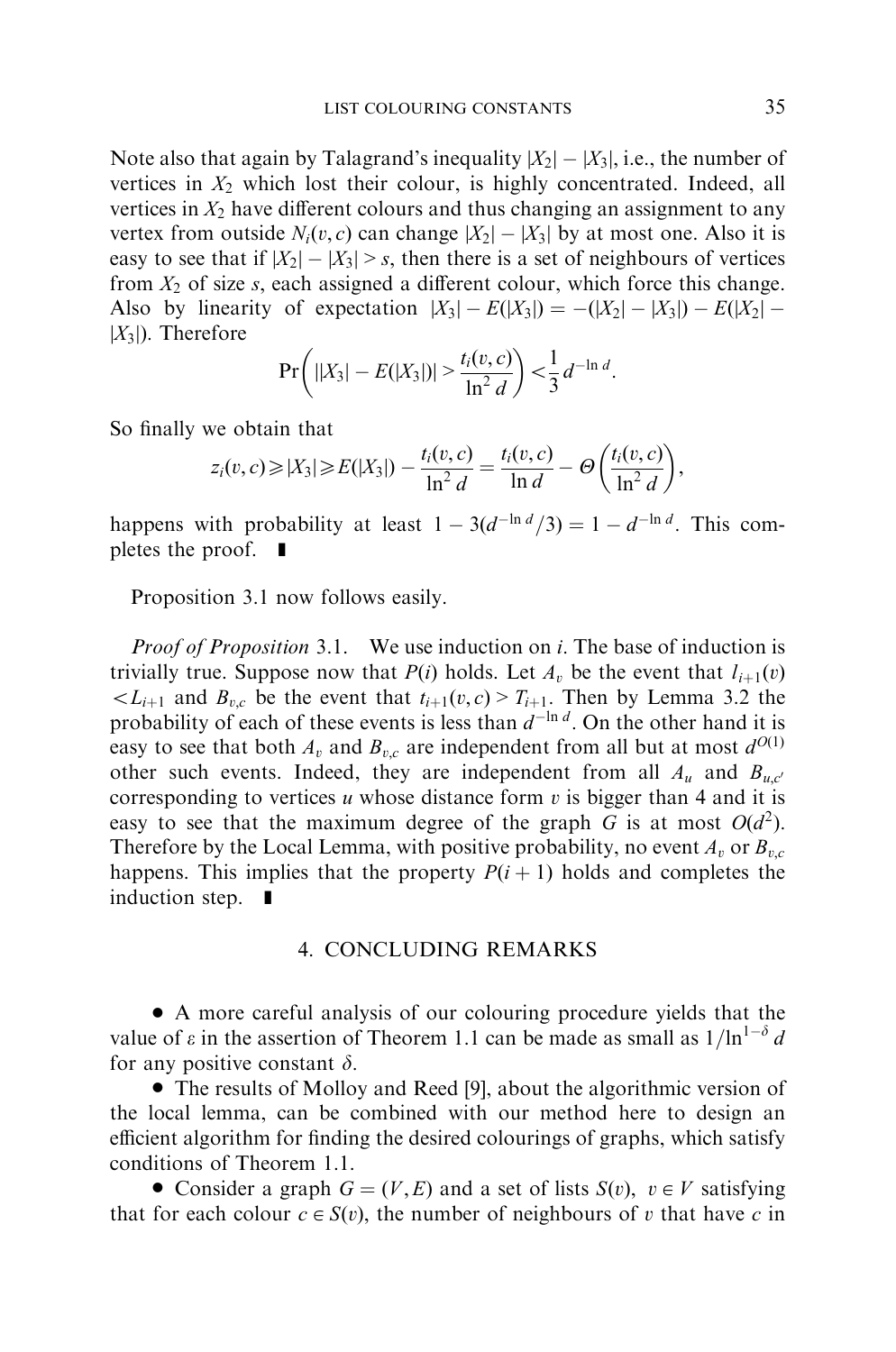Note also that again by Talagrand's inequality  $|X_2| - |X_3|$ , i.e., the number of vertices in  $X_2$  which lost their colour, is highly concentrated. Indeed, all vertices in  $X_2$  have different colours and thus changing an assignment to any vertex from outside  $N_i(v, c)$  can change  $|X_2| - |X_3|$  by at most one. Also it is easy to see that if  $|X_2| - |X_3| > s$ , then there is a set of neighbours of vertices from  $X_2$  of size  $s$ , each assigned a different colour, which force this change. Also by linearity of expectation  $|X_3| - E(|X_3|) = -(|X_2| - |X_3|) - E(|X_2| |X_3|$ ). Therefore

$$
\Pr\bigg(||X_3| - E(|X_3|)| > \frac{t_i(v,c)}{\ln^2 d}\bigg) < \frac{1}{3}d^{-\ln d}.
$$

So finally we obtain that

$$
z_i(v, c) \ge |X_3| \ge E(|X_3|) - \frac{t_i(v, c)}{\ln^2 d} = \frac{t_i(v, c)}{\ln d} - \Theta\left(\frac{t_i(v, c)}{\ln^2 d}\right),
$$

happens with probability at least  $1 - 3(d^{-\ln d}/3) = 1 - d^{-\ln d}$ . This completes the proof.  $\blacksquare$ 

Proposition 3.1 now follows easily.

Proof of Proposition 3.1. We use induction on *i*: The base of induction is trivially true. Suppose now that *P*(*i*) holds. Let  $A<sub>v</sub>$  be the event that  $I<sub>i+1</sub>(v)$  $\langle L_{i+1}$  and  $B_{v,c}$  be the event that  $t_{i+1}(v,c) > T_{i+1}$ . Then by Lemma 3.2 the probability of each of these events is less than  $d^{-\ln d}$ . On the other hand it is easy to see that both  $A_v$  and  $B_{v,c}$  are independent from all but at most  $d^{O(1)}$ other such events. Indeed, they are independent from all  $A_u$  and  $B_{u,c'}$ corresponding to vertices *u* whose distance form *v* is bigger than 4 and it is easy to see that the maximum degree of the graph *G* is at most  $O(d^2)$ . Therefore by the Local Lemma, with positive probability, no event  $A_v$  or  $B_{v,c}$ happens. This implies that the property  $P(i + 1)$  holds and completes the induction step.  $\blacksquare$ 

#### 4.CONCLUDING REMARKS

\* A more careful analysis of our colouring procedure yields that the value of  $\varepsilon$  in the assertion of Theorem 1.1 can be made as small as  $1/ln^{1-\delta} d$ for any positive constant  $\delta$ .

• The results of Molloy and Reed [\[9\]](#page-10-0), about the algorithmic version of the local lemma, can be combined with our method here to design an efficient algorithm for finding the desired colourings of graphs, which satisfy conditions of Theorem 1.1.

• Consider a graph  $G = (V, E)$  and a set of lists  $S(v)$ ,  $v \in V$  satisfying that for each colour  $c \in S(v)$ , the number of neighbours of *v* that have *c* in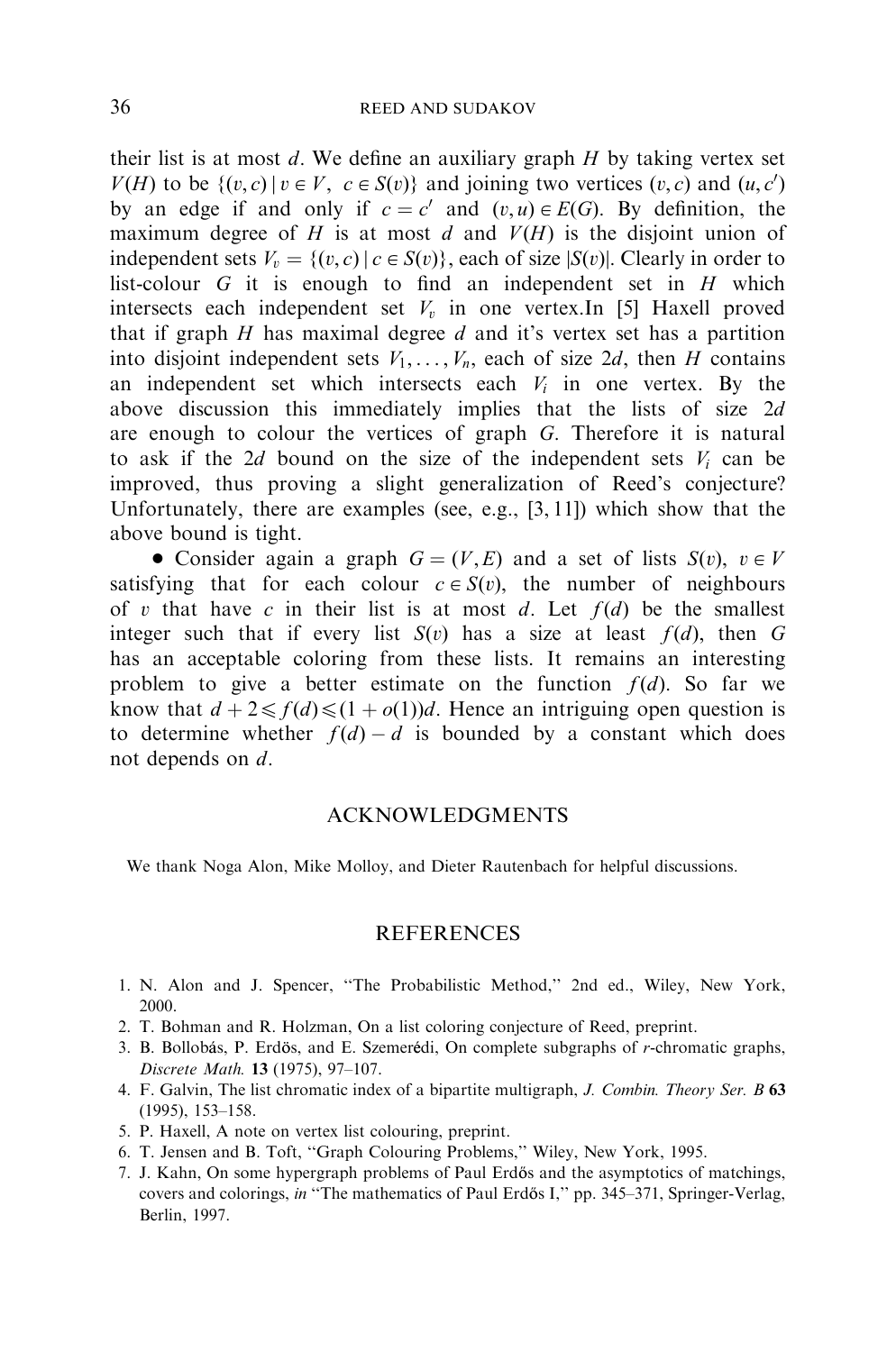<span id="page-9-0"></span>their list is at most *d*: We define an auxiliary graph *H* by taking vertex set *V*(*H*) to be { $(v, c) | v \in V$ ,  $c \in S(v)$ } and joining two vertices  $(v, c)$  and  $(u, c')$ by an edge if and only if  $c = c'$  and  $(v, u) \in E(G)$ . By definition, the maximum degree of  $H$  is at most  $d$  and  $V(H)$  is the disjoint union of independent sets  $V_r = \{(v, c) | c \in S(v)\}\$ , each of size  $|S(v)|$ . Clearly in order to list-colour *G* it is enough to find an independent set in *H* which intersects each independent set  $V<sub>v</sub>$  in one vertex. In [5] Haxell proved that if graph *H* has maximal degree *d* and it's vertex set has a partition into disjoint independent sets  $V_1, \ldots, V_n$ , each of size 2*d*, then *H* contains an independent set which intersects each  $V_i$  in one vertex. By the above discussion this immediately implies that the lists of size 2*d* are enough to colour the vertices of graph *G*: Therefore it is natural to ask if the  $2d$  bound on the size of the independent sets  $V_i$  can be improved, thus proving a slight generalization of Reed's conjecture? Unfortunately, there are examples (see, e.g., [3, [11\]](#page-10-0)) which show that the above bound is tight.

• Consider again a graph  $G = (V, E)$  and a set of lists  $S(v)$ ,  $v \in V$ satisfying that for each colour  $c \in S(v)$ , the number of neighbours of *v* that have *c* in their list is at most *d*. Let  $f(d)$  be the smallest integer such that if every list  $S(v)$  has a size at least  $f(d)$ , then  $G$ has an acceptable coloring from these lists. It remains an interesting problem to give a better estimate on the function  $f(d)$ . So far we know that  $d + 2 \le f(d) \le (1 + o(1))d$ . Hence an intriguing open question is to determine whether  $f(d) - d$  is bounded by a constant which does not depends on *d*:

#### ACKNOWLEDGMENTS

We thank Noga Alon, Mike Molloy, and Dieter Rautenbach for helpful discussions.

#### **REFERENCES**

- 1.N.Alon and J. Spencer, ''The Probabilistic Method,'' 2nd ed., Wiley, New York, 2000.
- 2.T.Bohman and R.Holzman, On a list coloring conjecture of Reed, preprint.
- 3. B. Bollobás, P. Erdös, and E. Szemerédi, On complete subgraphs of *r*-chromatic graphs, Discrete Math. 13 (1975), 97–107.
- 4.F.Galvin, The list chromatic index of a bipartite multigraph, J. Combin. Theory Ser. B 63 (1995), 153–158.
- 5.P.Haxell, A note on vertex list colouring, preprint.
- 6.T.Jensen and B.Toft, ''Graph Colouring Problems,'' Wiley, New York, 1995.
- 7. J. Kahn, On some hypergraph problems of Paul Erdős and the asymptotics of matchings, covers and colorings, in "The mathematics of Paul Erdős I," pp. 345–371, Springer-Verlag, Berlin, 1997.